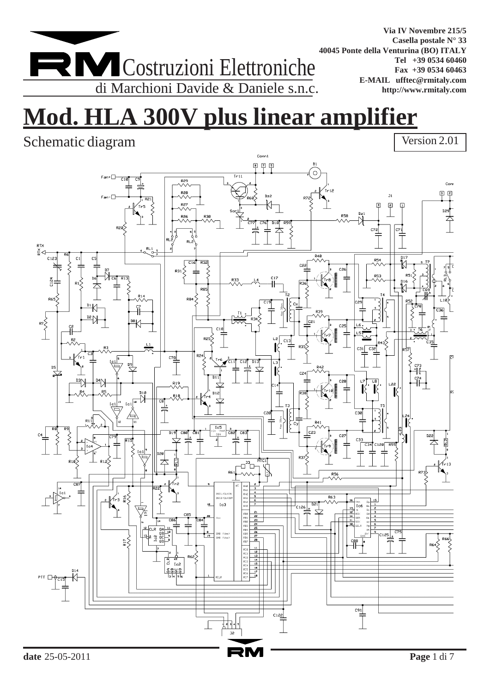

## **Mod. HLA 300V plus linear amplifier**

Schematic diagram

Version 2.01

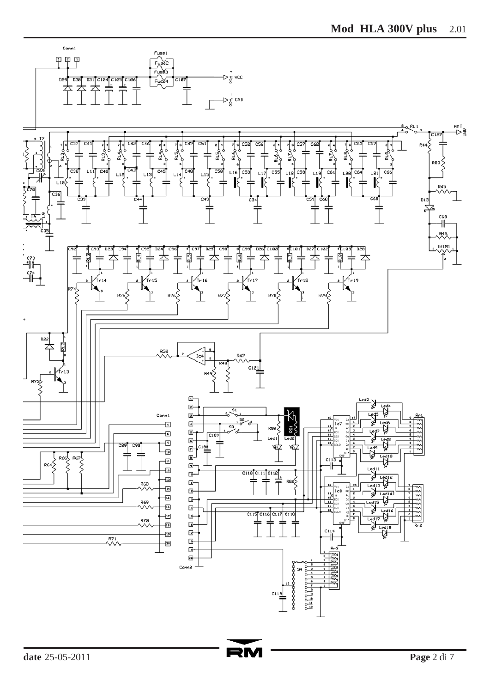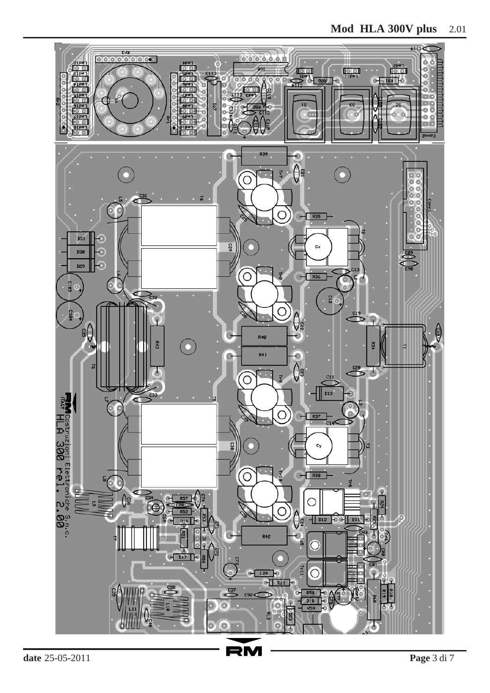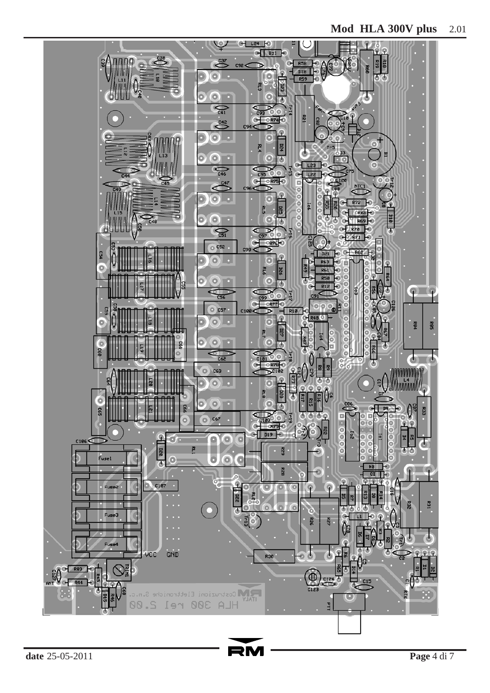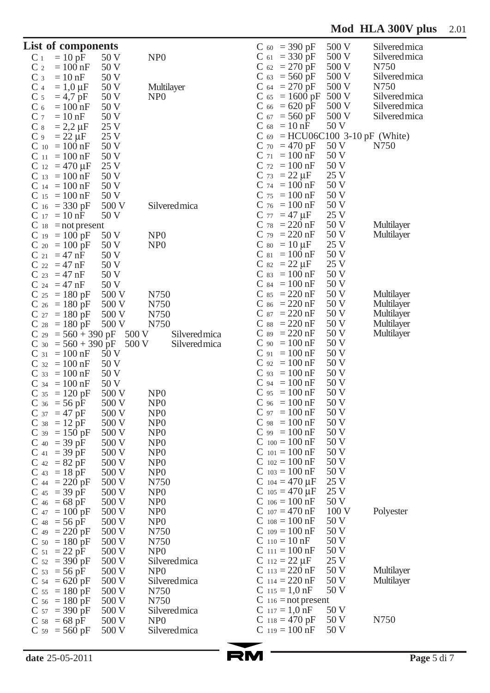| List of components                             |                |                  | $C_{60}$ = 390 pF                                   | 500 V        | Silvered mica        |
|------------------------------------------------|----------------|------------------|-----------------------------------------------------|--------------|----------------------|
| C <sub>1</sub><br>$= 10 \text{ pF}$            | 50 V           | N <sub>P</sub> O | C 61 = 330 pF                                       | 500 V        | <b>Silvered</b> mica |
| C <sub>2</sub><br>$= 100$ nF                   | 50 V           |                  | $C_{62}$ = 270 pF                                   | 500 V        | N750                 |
| $C_3$<br>$=10$ nF                              | 50 V           |                  | $C_{63}$ = 560 pF                                   | 500 V        | <b>Silvered</b> mica |
| C <sub>4</sub><br>$= 1.0 \,\mu F$              | 50 V           | Multilayer       | C 64 = 270 pF                                       | 500 V        | N750                 |
| C <sub>5</sub><br>$= 4.7 \text{ pF}$           | 50 V           | N <sub>P</sub> O | $C_{65} = 1600 \text{ pF}$                          | 500 V        | Silvered mica        |
| C <sub>6</sub><br>$= 100$ nF                   | 50 V           |                  | $C_{66}$ = 620 pF                                   | 500 V        | Silvered mica        |
| C <sub>7</sub><br>$=10$ nF                     | 50 V           |                  | $C_{67}$ = 560 pF                                   | 500 V        | Silvered mica        |
| C <sub>8</sub><br>$= 2.2 \,\mu F$              | 25 V           |                  | $C_{68}$ = 10 nF                                    | 50 V         |                      |
| $C_9$<br>$= 22 \mu F$                          | 25 V           |                  | $C_{69}$ = HCU06C100 3-10 pF (White)                |              |                      |
| $C_{10} = 100 \text{ nF}$                      | 50 V           |                  | $C_{70}$ = 470 pF                                   | 50 V         | N750                 |
| $C_{11} = 100 \text{ nF}$                      | 50 V           |                  | $C_{71} = 100$ nF                                   | 50 V         |                      |
| C $_{12}$ = 470 $\mu$ F                        | 25 V           |                  | $C_{72} = 100$ nF                                   | 50 V         |                      |
| $C_{13} = 100 \text{ nF}$                      | 50 V           |                  | C $73 = 22 \,\mu\text{F}$                           | 25 V         |                      |
| $C_{14} = 100 \text{ nF}$                      | 50 V           |                  | $C_{74} = 100 \text{ nF}$                           | 50 V         |                      |
| $C_{15} = 100$ nF                              | 50 V           |                  | $C_{75} = 100$ nF                                   | 50 V         |                      |
| $C_{16}$ = 330 pF                              | 500 V          | Silvered mica    | $C$ 76 = 100 nF                                     | 50 V         |                      |
| $C_{17} = 10$ nF                               | 50 V           |                  | C $77 = 47 \mu F$                                   | 25 V         |                      |
| $C_{18}$ = not present                         |                |                  | $C_{78}$ = 220 nF                                   | 50 V         | Multilayer           |
| $C_{19} = 100 pF$                              | 50 V           | N <sub>P</sub> O | $C_{79}$ = 220 nF                                   | 50 V         | Multilayer           |
| $C_{20} = 100 pF$                              | 50 V           | N <sub>P</sub> O | $C_{80} = 10 \,\mu F$                               | 25 V         |                      |
| $C_{21} = 47$ nF                               | 50 V           |                  | $C_{81} = 100$ nF                                   | 50 V<br>25 V |                      |
| $C_{22} = 47$ nF                               | 50 V           |                  | C $_{82}$ = 22 $\mu$ F<br>$C_{83} = 100 \text{ nF}$ | 50 V         |                      |
| $C_{23} = 47$ nF                               | 50 V           |                  | $C_{84} = 100 \text{ nF}$                           | 50 V         |                      |
| $C_{24} = 47$ nF                               | 50 V<br>500 V  | N750             | $C_{85}$ = 220 nF                                   | 50 V         | Multilayer           |
| $C_{25} = 180 \text{ pF}$<br>$C_{26}$ = 180 pF | 500 V          | N750             | $C_{86}$ = 220 nF                                   | 50 V         | Multilayer           |
| $C_{27} = 180 pF$                              | 500 V          | N750             | $C_{87}$ = 220 nF                                   | 50 V         | Multilayer           |
| $C_{28} = 180 pF$                              | 500 V          | N750             | $= 220$ nF<br>$C_{88}$                              | 50 V         | Multilayer           |
| $C_{29}$ = 560 + 390 pF                        | 500 V          | Silveredmica     | $= 220$ nF<br>$C_{89}$                              | 50 V         | Multilayer           |
| $C_{30}$ = 560 + 390 pF                        | 500 V          | Silveredmica     | $=100$ nF<br>$C_{90}$                               | 50 V         |                      |
| $C_{31} = 100 \text{ nF}$                      | 50 V           |                  | $=100$ nF<br>$C_{91}$                               | 50 V         |                      |
| $C_{32} = 100 \text{ nF}$                      | 50 V           |                  | $C_{92} = 100 \text{ nF}$                           | 50 V         |                      |
| $C_{33} = 100 \text{ nF}$                      | 50 V           |                  | $=100$ nF<br>$C_{93}$                               | 50 V         |                      |
| $C_{34} = 100$ nF                              | 50 V           |                  | $C_{94} = 100 \text{ nF}$                           | 50 V         |                      |
| $\text{C}_{35}$ = 120 pF                       | 500 V          | N <sub>P</sub> O | $C_{95} = 100 \text{ nF}$                           | 50 V         |                      |
| $C_{36}$ = 56 pF                               | 500 V          | N <sub>P</sub> O | $C_{96} = 100 \text{ nF}$                           | 50 V         |                      |
| $C_{37} = 47 pF$                               | 500 V          | N <sub>P</sub> O | $C_{97} = 100 \text{ nF}$                           | 50 V         |                      |
| $C_{38} = 12 pF$                               | 500 V          | N <sub>P</sub> O | $C_{98} = 100 \text{ nF}$                           | 50 V         |                      |
| $C_{39} = 150 pF$                              | 500 V          | N <sub>P</sub> O | $C_{99} = 100 \text{ nF}$                           | 50 V         |                      |
| $C_{40}$ = 39 pF                               | 500 V          | N <sub>P</sub> O | $C_{100} = 100 \text{ nF}$                          | 50 V         |                      |
| $C_{41}$ = 39 pF                               | 500 V          | N <sub>P</sub> O | $C_{101} = 100 \text{ nF}$                          | 50 V         |                      |
| $C_{42} = 82 pF$                               | 500 V          | N <sub>P</sub> O | $C_{102} = 100$ nF                                  | 50 V         |                      |
| $C_{43} = 18 pF$                               | 500 V          | N <sub>P</sub> O | $C_{103} = 100$ nF                                  | 50 V         |                      |
| $C_{44}$ = 220 pF                              | 500 V          | N750             | C $_{104} = 470 \,\mu F$                            | 25 V         |                      |
| $C_{45}$ = 39 pF                               | 500 V          | N <sub>P</sub> O | C $_{105} = 470 \,\mu F$                            | 25 V         |                      |
| $C_{46} = 68 \text{ pF}$                       | 500 V          | N <sub>P</sub> O | $C_{106} = 100$ nF                                  | 50 V         |                      |
| $C_{47} = 100 pF$                              | 500 V          | N <sub>P</sub> O | $C_{107} = 470$ nF                                  | 100V         | Polyester            |
| $C_{48}$ = 56 pF                               | 500 V          | N <sub>P</sub> O | $C_{108} = 100$ nF                                  | 50 V         |                      |
| $C_{49}$ = 220 pF                              | 500 V          | N750             | $C_{109} = 100$ nF                                  | 50 V         |                      |
| $C_{50} = 180 \text{ pF}$                      | 500 V          | N750             | $C_{110} = 10 \text{ nF}$                           | 50 V         |                      |
| $C_{51} = 22 pF$                               | 500 V          | N <sub>P</sub> O | $C_{111} = 100$ nF                                  | 50 V         |                      |
| $C_{52}$ = 390 pF                              | 500 V          | Silvered mica    | C $_{112} = 22 \mu F$                               | 25 V         |                      |
| $C_{53}$ = 56 pF                               | 500 V          | N <sub>P</sub> O | C $_{113} = 220$ nF<br>C $_{114} = 220$ nF          | 50 V<br>50 V | Multilayer           |
| $C_{54} = 620 \text{ pF}$                      | 500 V          | Silvered mica    | C $_{115} = 1,0$ nF                                 | 50 V         | Multilayer           |
| $C_{55}$ = 180 pF                              | 500 V          | N750<br>N750     | $C_{116}$ = not present                             |              |                      |
| $C_{56} = 180 \text{ pF}$                      | 500 V<br>500 V | Silvered mica    | C $_{117} = 1,0 \text{ nF}$                         | 50 V         |                      |
| $C_{57}$ = 390 pF<br>$C_{58}$ = 68 pF          | 500 V          | N <sub>P</sub> O | C $_{118} = 470$ pF                                 | 50 V         | N750                 |
| $C_{59} = 560 pF$                              | 500 V          | Silvered mica    | C $_{119} = 100$ nF                                 | 50 V         |                      |
|                                                |                |                  |                                                     |              |                      |

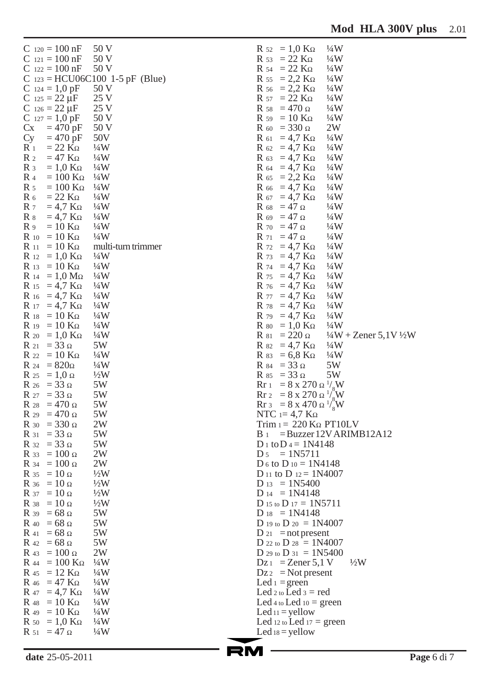$C$  120 = 100 nF 50 V  $C_{121} = 100$  nF 50 V  $C$  122 = 100 nF 50 V  $C_{123} = HCU06C100 1-5 pF (Blue)$ C  $_{124} = 1,0 \text{ pF}$  50 V C  $_{125} = 22 \mu F$  25 V<br>C  $_{126} = 22 \mu F$  25 V C  $_{126} = 22 \mu F$  25 V<br>C  $_{127} = 1.0 \text{ pF}$  50 V C  $_{127} = 1,0$  pF  $Cx = 470^{12}pF = 50 V$  $Cy = 470 pF = 50V$  $R_1 = 22 K_{\Omega}$   $\frac{1}{4}W$  $R_2 = 47 K_{\Omega}$   $\frac{1}{4}W$  $R_3 = 1.0 K\Omega$   $\frac{1}{4}W$  $R_4 = 100 K_{\Omega}$  <sup>1</sup>/<sub>4</sub>W  $R 5 = 100 K\Omega$  ¼W  $R_6 = 22 K\Omega$   $\frac{1}{4}W$  $R \tau = 4.7 K\Omega$   $\frac{1}{4}W$  $R_8 = 4.7 K_{\Omega}$  <sup>1</sup>/<sub>4</sub>W  $R$  9 = 10 KΩ  $\frac{1}{4}W$ R 10 = 10 KΩ  $\frac{1}{4}W$  $R_{11} = 10 K\Omega$  multi-turn trimmer  $R_{12} = 1.0 K\Omega$   $\frac{1}{4}W$ R  $13 = 10$  KΩ  $\frac{1}{4}W$  $R_{14} = 1.0 M_{\Omega}$  1/4W R 15 = 4,7 KΩ  $\frac{1}{4}W$ R  $_{16}$  = 4,7 KΩ  $^{1/4}W$ R 17 = 4,7 KΩ  $\frac{1}{4}W$ R 18 = 10 KΩ  $\frac{1}{4}W$  $R$  19 = 10 KΩ  $\frac{1}{4}W$ R 20 = 1,0 KΩ  $\frac{1}{4}W$ R 21 = 33 Ω 5W R 22 = 10 KΩ  $\frac{1}{4}W$ R 24 = 820Ω  $\frac{1}{4}W$ R 25 = 1,0  $\Omega$   $\frac{1}{2}W$ R  $26 = 33$  Ω 5W  $R$  27 = 33 Ω 5W R 28 = 470 Ω 5W R 29 = 470 Ω 5W R 30 = 330 Ω 2W  $R$  31 = 33 Ω 5W R 32 = 33 Ω 5W R 33 =  $100 \Omega$  2W R 34 = 100 Ω 2W  $R_{35} = 10 \Omega$   $\frac{1}{2}W$ R 36 = 10 Ω  $\frac{1}{2}W$ R 37 = 10 Ω  $\frac{1}{2}W$ R 38 =  $10 \Omega$   $\frac{1}{2}W$ R 39 = 68 Ω 5W R 40 = 68 Ω 5W  $R$  41 = 68 Ω 5W  $R$  42 = 68 Ω 5W R 43 = 100 Ω 2W<br>R 44 = 100 KΩ 44W  $R$  44 = 100 KΩ  $R_{45} = 12 K\Omega$   $\frac{1}{4}W$  $R$  46 = 47 KΩ <sup>1</sup>/4W<br>R 47 = 4.7 KΩ <sup>1</sup>/4W  $R_{47} = 4.7 K\Omega$   $1/4W$ <br> $R_{48} = 10 K\Omega$   $1/4W$  $R$  48 = 10 KΩ  $R_{49} = 10 K_{\Omega}$  <sup>1</sup>/<sub>4</sub>W<br> $R_{50} = 1.0 K_{\Omega}$  <sup>1</sup>/<sub>4</sub>W R 50 = 1,0 KΩ <sup>1</sup>/4W<br>R 51 = 47 Ω <sup>1</sup>/4W  $R$  51 = 47 Ω

| $= 1.0$ Ko<br>R 52                            | $\frac{1}{4}W$                             |  |
|-----------------------------------------------|--------------------------------------------|--|
| $= 22$ Ko<br>R 53                             | $\frac{1}{4}W$                             |  |
| $= 22$ Ko<br><b>R</b> 54                      | $\frac{1}{4}W$                             |  |
| $= 2.2$ Ko<br><b>R</b> 55                     | $\frac{1}{4}W$                             |  |
| $= 2.2$ Ko<br>R 56                            | $\frac{1}{4}W$                             |  |
| $=22$ Ko<br><b>R</b> 57                       | $\frac{1}{4}W$                             |  |
| $=470$ $\Omega$<br>R 58                       | $\frac{1}{4}W$                             |  |
| $=10~\mathrm{K}\Omega$<br>R 59                | $\frac{1}{4}W$                             |  |
| $=$ 330 $\Omega$<br>R 60                      | 2W                                         |  |
| $= 4.7$ Ko<br>R 61                            | $\frac{1}{4}W$                             |  |
| $= 4.7$ Ko<br><b>R</b> 62                     | $\frac{1}{4}W$                             |  |
| $= 4.7$ Ko<br>R 63                            | $\frac{1}{4}W$                             |  |
| $= 4.7$ Ko<br>R 64                            | $\frac{1}{4}W$                             |  |
| $= 2.2$ Ko<br><b>R</b> 65                     | $\frac{1}{4}W$                             |  |
| $= 4.7$ Ko<br><b>R</b> 66                     | 1/4W                                       |  |
| $= 4.7$ Ko<br>R 67                            | $\frac{1}{4}W$                             |  |
| $= 47 \Omega$<br>R 68                         | $\frac{1}{4}W$                             |  |
| $= 47 \Omega$<br>R 69                         | $\frac{1}{4}W$                             |  |
| $= 47 \Omega$<br>R 70                         | $\frac{1}{4}W$                             |  |
| $=47$ $\Omega$<br>R 71                        | $\frac{1}{4}W$                             |  |
| $= 4.7$ Ko<br>R 72                            | $\frac{1}{4}W$                             |  |
| $= 4.7$ Ko<br><b>R</b> 73                     | $\frac{1}{4}W$                             |  |
| $= 4.7$ Ko<br><b>R</b> 74                     | 1/4W                                       |  |
| $= 4.7$ Ko<br>R 75                            | 1/4W                                       |  |
| $= 4.7$ Ko<br><b>R</b> 76                     | 1/4W                                       |  |
| $= 4.7$ Ko<br><b>R</b> 77                     | 1/4W                                       |  |
| $= 4.7$ Ko<br>R 78                            | 1/4W                                       |  |
| $= 4.7$ Ko<br>R 79                            | 1/4W                                       |  |
| $= 1.0$ Ko<br>R 80                            | 1/4W                                       |  |
| $= 220 \Omega$<br>R 81                        | $\frac{1}{4}W +$ Zener 5,1V $\frac{1}{2}W$ |  |
| $= 4.7$ Ko<br>R 82                            | $\frac{1}{4}W$                             |  |
| $= 6.8$ Ko<br>R 83                            | $\frac{1}{4}W$                             |  |
| $=$ 33 $\Omega$<br>R 84                       | 5W                                         |  |
| $=$ 33 $\Omega$<br><b>R</b> 85                | 5W                                         |  |
| $= 8 \times 270 \Omega^{1/2} W$<br>$Rr_1$     |                                            |  |
| $= 8 \times 270 \Omega^{1/8}$ W<br>Rr 2       |                                            |  |
| Rr 3 = $8 \times 470 \Omega^{1/8}$ W          |                                            |  |
| NTC $i = 4.7$ K $\Omega$                      |                                            |  |
| Trim $1 = 220$ Ko PT10LV                      |                                            |  |
|                                               | $B_1$ = Buzzer 12V ARIMB12A12              |  |
| $D_1$ to $D_4 = 1N4148$                       |                                            |  |
| $D_5 = 1N5711$                                |                                            |  |
| D <sub>6</sub> to D <sub>10</sub> = $1N4148$  |                                            |  |
| D <sub>11</sub> to D <sub>12</sub> = 1N4007   |                                            |  |
| $D_{13} = 1N5400$                             |                                            |  |
| $D_{14} = 1N4148$                             |                                            |  |
| D 15 to D 17 = $1N5711$                       |                                            |  |
| $D_{18} = 1N4148$                             |                                            |  |
| D 19 to D 20 = $1N4007$                       |                                            |  |
| $D_{21}$ = not present                        |                                            |  |
| D 22 to D 28 = $1N4007$                       |                                            |  |
| D 29 to D 31 = $1N5400$                       |                                            |  |
| $Dz_1 = Zener 5,1 V$                          | $\frac{1}{2}W$                             |  |
| $Dz_2$ = Not present                          |                                            |  |
| Led $1 = green$                               |                                            |  |
| Led 2 to Led $3 = red$                        |                                            |  |
| Led 4 to Led 10 = green                       |                                            |  |
| Led $11 =$ yellow                             |                                            |  |
| Led 12 to Led 17 = green<br>Led $18 =$ yellow |                                            |  |
|                                               |                                            |  |